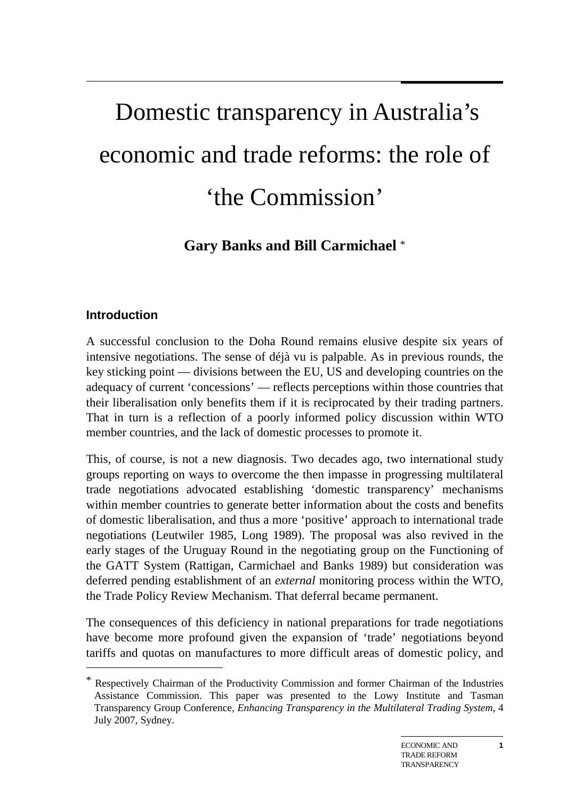# Domestic transparency in Australia's economic and trade reforms: the role of 'the Commission'

## **Gary Banks and Bill Carmichael** \*

## **Introduction**

-

A successful conclusion to the Doha Round remains elusive despite six years of intensive negotiations. The sense of déjà vu is palpable. As in previous rounds, the key sticking point — divisions between the EU, US and developing countries on the adequacy of current 'concessions' — reflects perceptions within those countries that their liberalisation only benefits them if it is reciprocated by their trading partners. That in turn is a reflection of a poorly informed policy discussion within WTO member countries, and the lack of domestic processes to promote it.

This, of course, is not a new diagnosis. Two decades ago, two international study groups reporting on ways to overcome the then impasse in progressing multilateral trade negotiations advocated establishing 'domestic transparency' mechanisms within member countries to generate better information about the costs and benefits of domestic liberalisation, and thus a more 'positive' approach to international trade negotiations (Leutwiler 1985, Long 1989). The proposal was also revived in the early stages of the Uruguay Round in the negotiating group on the Functioning of the GATT System (Rattigan, Carmichael and Banks 1989) but consideration was deferred pending establishment of an *external* monitoring process within the WTO, the Trade Policy Review Mechanism. That deferral became permanent.

The consequences of this deficiency in national preparations for trade negotiations have become more profound given the expansion of 'trade' negotiations beyond tariffs and quotas on manufactures to more difficult areas of domestic policy, and

<sup>\*</sup> Respectively Chairman of the Productivity Commission and former Chairman of the Industries Assistance Commission. This paper was presented to the Lowy Institute and Tasman Transparency Group Conference, *Enhancing Transparency in the Multilateral Trading System*, 4 July 2007, Sydney.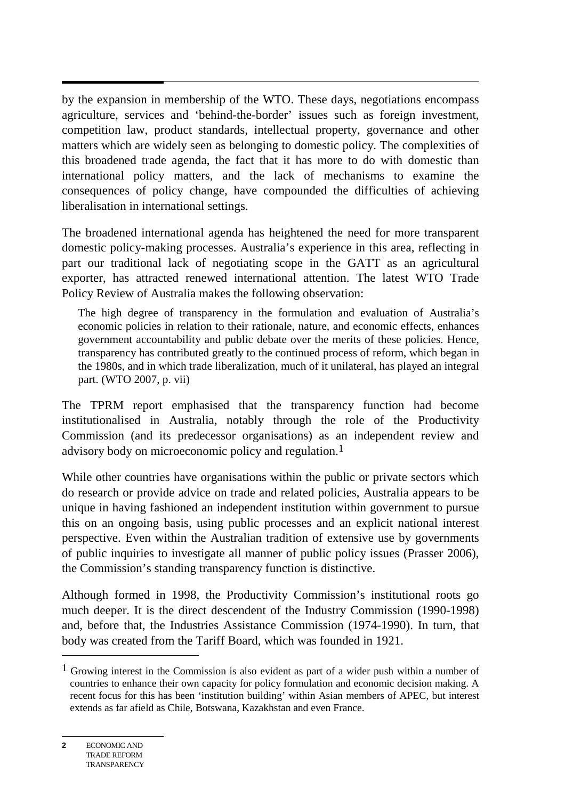$\overline{a}$ by the expansion in membership of the WTO. These days, negotiations encompass agriculture, services and 'behind-the-border' issues such as foreign investment, competition law, product standards, intellectual property, governance and other matters which are widely seen as belonging to domestic policy. The complexities of this broadened trade agenda, the fact that it has more to do with domestic than international policy matters, and the lack of mechanisms to examine the consequences of policy change, have compounded the difficulties of achieving liberalisation in international settings.

The broadened international agenda has heightened the need for more transparent domestic policy-making processes. Australia's experience in this area, reflecting in part our traditional lack of negotiating scope in the GATT as an agricultural exporter, has attracted renewed international attention. The latest WTO Trade Policy Review of Australia makes the following observation:

The high degree of transparency in the formulation and evaluation of Australia's economic policies in relation to their rationale, nature, and economic effects, enhances government accountability and public debate over the merits of these policies. Hence, transparency has contributed greatly to the continued process of reform, which began in the 1980s, and in which trade liberalization, much of it unilateral, has played an integral part. (WTO 2007, p. vii)

The TPRM report emphasised that the transparency function had become institutionalised in Australia, notably through the role of the Productivity Commission (and its predecessor organisations) as an independent review and advisory body on microeconomic policy and regulation.1

While other countries have organisations within the public or private sectors which do research or provide advice on trade and related policies, Australia appears to be unique in having fashioned an independent institution within government to pursue this on an ongoing basis, using public processes and an explicit national interest perspective. Even within the Australian tradition of extensive use by governments of public inquiries to investigate all manner of public policy issues (Prasser 2006), the Commission's standing transparency function is distinctive.

Although formed in 1998, the Productivity Commission's institutional roots go much deeper. It is the direct descendent of the Industry Commission (1990-1998) and, before that, the Industries Assistance Commission (1974-1990). In turn, that body was created from the Tariff Board, which was founded in 1921.

 $\overline{a}$ 

<sup>1</sup> Growing interest in the Commission is also evident as part of a wider push within a number of countries to enhance their own capacity for policy formulation and economic decision making. A recent focus for this has been 'institution building' within Asian members of APEC, but interest extends as far afield as Chile, Botswana, Kazakhstan and even France.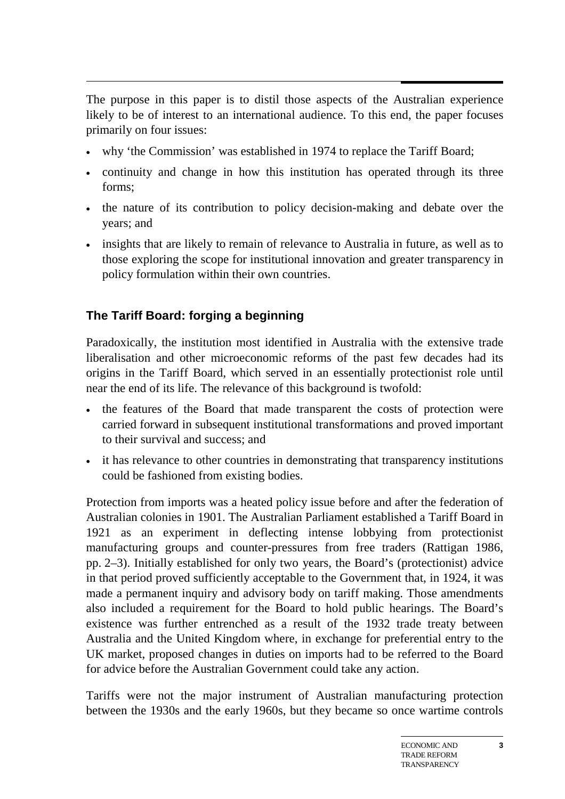$\overline{a}$ The purpose in this paper is to distil those aspects of the Australian experience likely to be of interest to an international audience. To this end, the paper focuses primarily on four issues:

- why 'the Commission' was established in 1974 to replace the Tariff Board;
- continuity and change in how this institution has operated through its three forms;
- the nature of its contribution to policy decision-making and debate over the years; and
- insights that are likely to remain of relevance to Australia in future, as well as to those exploring the scope for institutional innovation and greater transparency in policy formulation within their own countries.

## **The Tariff Board: forging a beginning**

Paradoxically, the institution most identified in Australia with the extensive trade liberalisation and other microeconomic reforms of the past few decades had its origins in the Tariff Board, which served in an essentially protectionist role until near the end of its life. The relevance of this background is twofold:

- the features of the Board that made transparent the costs of protection were carried forward in subsequent institutional transformations and proved important to their survival and success; and
- it has relevance to other countries in demonstrating that transparency institutions could be fashioned from existing bodies.

Protection from imports was a heated policy issue before and after the federation of Australian colonies in 1901. The Australian Parliament established a Tariff Board in 1921 as an experiment in deflecting intense lobbying from protectionist manufacturing groups and counter-pressures from free traders (Rattigan 1986, pp. 2–3). Initially established for only two years, the Board's (protectionist) advice in that period proved sufficiently acceptable to the Government that, in 1924, it was made a permanent inquiry and advisory body on tariff making. Those amendments also included a requirement for the Board to hold public hearings. The Board's existence was further entrenched as a result of the 1932 trade treaty between Australia and the United Kingdom where, in exchange for preferential entry to the UK market, proposed changes in duties on imports had to be referred to the Board for advice before the Australian Government could take any action.

Tariffs were not the major instrument of Australian manufacturing protection between the 1930s and the early 1960s, but they became so once wartime controls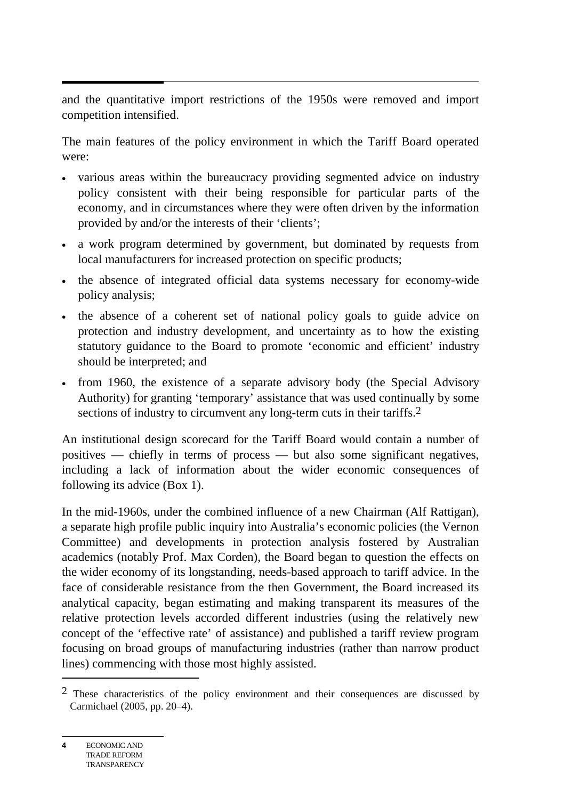and the quantitative import restrictions of the 1950s were removed and import competition intensified.

The main features of the policy environment in which the Tariff Board operated were:

- various areas within the bureaucracy providing segmented advice on industry policy consistent with their being responsible for particular parts of the economy, and in circumstances where they were often driven by the information provided by and/or the interests of their 'clients';
- a work program determined by government, but dominated by requests from local manufacturers for increased protection on specific products;
- the absence of integrated official data systems necessary for economy-wide policy analysis;
- the absence of a coherent set of national policy goals to guide advice on protection and industry development, and uncertainty as to how the existing statutory guidance to the Board to promote 'economic and efficient' industry should be interpreted; and
- from 1960, the existence of a separate advisory body (the Special Advisory Authority) for granting 'temporary' assistance that was used continually by some sections of industry to circumvent any long-term cuts in their tariffs.<sup>2</sup>

An institutional design scorecard for the Tariff Board would contain a number of positives — chiefly in terms of process — but also some significant negatives, including a lack of information about the wider economic consequences of following its advice (Box 1).

In the mid-1960s, under the combined influence of a new Chairman (Alf Rattigan), a separate high profile public inquiry into Australia's economic policies (the Vernon Committee) and developments in protection analysis fostered by Australian academics (notably Prof. Max Corden), the Board began to question the effects on the wider economy of its longstanding, needs-based approach to tariff advice. In the face of considerable resistance from the then Government, the Board increased its analytical capacity, began estimating and making transparent its measures of the relative protection levels accorded different industries (using the relatively new concept of the 'effective rate' of assistance) and published a tariff review program focusing on broad groups of manufacturing industries (rather than narrow product lines) commencing with those most highly assisted.

 $\overline{a}$ 

<sup>&</sup>lt;sup>2</sup> These characteristics of the policy environment and their consequences are discussed by Carmichael (2005, pp. 20–4).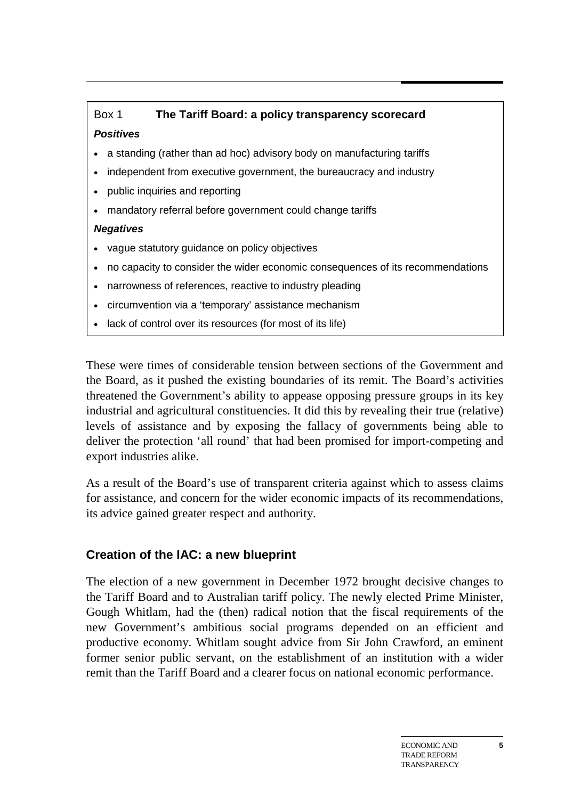## Box 1 **The Tariff Board: a policy transparency scorecard**  *Positives*

- a standing (rather than ad hoc) advisory body on manufacturing tariffs
- independent from executive government, the bureaucracy and industry
- public inquiries and reporting
- mandatory referral before government could change tariffs

## *Negatives*

- vague statutory guidance on policy objectives
- no capacity to consider the wider economic consequences of its recommendations
- narrowness of references, reactive to industry pleading
- circumvention via a 'temporary' assistance mechanism
- lack of control over its resources (for most of its life)

These were times of considerable tension between sections of the Government and the Board, as it pushed the existing boundaries of its remit. The Board's activities threatened the Government's ability to appease opposing pressure groups in its key industrial and agricultural constituencies. It did this by revealing their true (relative) levels of assistance and by exposing the fallacy of governments being able to deliver the protection 'all round' that had been promised for import-competing and export industries alike.

As a result of the Board's use of transparent criteria against which to assess claims for assistance, and concern for the wider economic impacts of its recommendations, its advice gained greater respect and authority.

## **Creation of the IAC: a new blueprint**

The election of a new government in December 1972 brought decisive changes to the Tariff Board and to Australian tariff policy. The newly elected Prime Minister, Gough Whitlam, had the (then) radical notion that the fiscal requirements of the new Government's ambitious social programs depended on an efficient and productive economy. Whitlam sought advice from Sir John Crawford, an eminent former senior public servant, on the establishment of an institution with a wider remit than the Tariff Board and a clearer focus on national economic performance.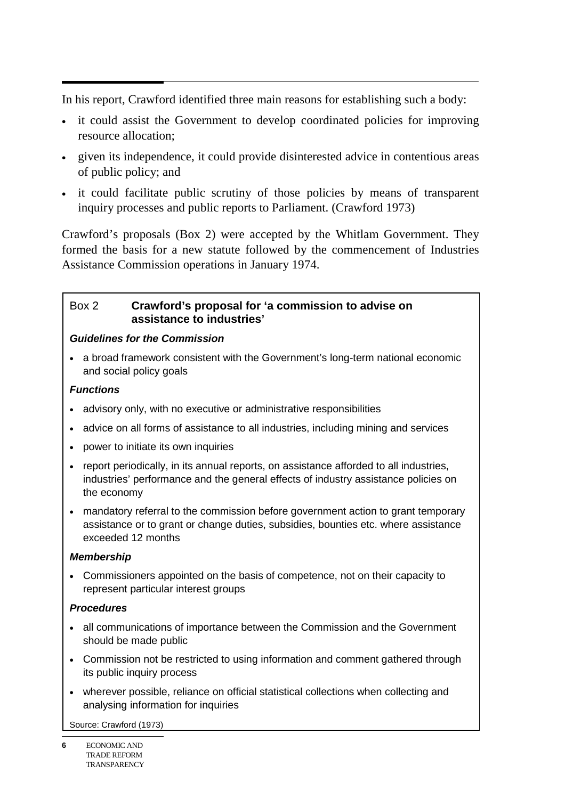$\overline{a}$ In his report, Crawford identified three main reasons for establishing such a body:

- it could assist the Government to develop coordinated policies for improving resource allocation;
- given its independence, it could provide disinterested advice in contentious areas of public policy; and
- it could facilitate public scrutiny of those policies by means of transparent inquiry processes and public reports to Parliament. (Crawford 1973)

Crawford's proposals (Box 2) were accepted by the Whitlam Government. They formed the basis for a new statute followed by the commencement of Industries Assistance Commission operations in January 1974.

#### Box 2 **Crawford's proposal for 'a commission to advise on assistance to industries'**

#### *Guidelines for the Commission*

• a broad framework consistent with the Government's long-term national economic and social policy goals

#### *Functions*

- advisory only, with no executive or administrative responsibilities
- advice on all forms of assistance to all industries, including mining and services
- power to initiate its own inquiries
- report periodically, in its annual reports, on assistance afforded to all industries, industries' performance and the general effects of industry assistance policies on the economy
- mandatory referral to the commission before government action to grant temporary assistance or to grant or change duties, subsidies, bounties etc. where assistance exceeded 12 months

#### *Membership*

• Commissioners appointed on the basis of competence, not on their capacity to represent particular interest groups

#### *Procedures*

- all communications of importance between the Commission and the Government should be made public
- Commission not be restricted to using information and comment gathered through its public inquiry process
- wherever possible, reliance on official statistical collections when collecting and analysing information for inquiries

Source: Crawford (1973)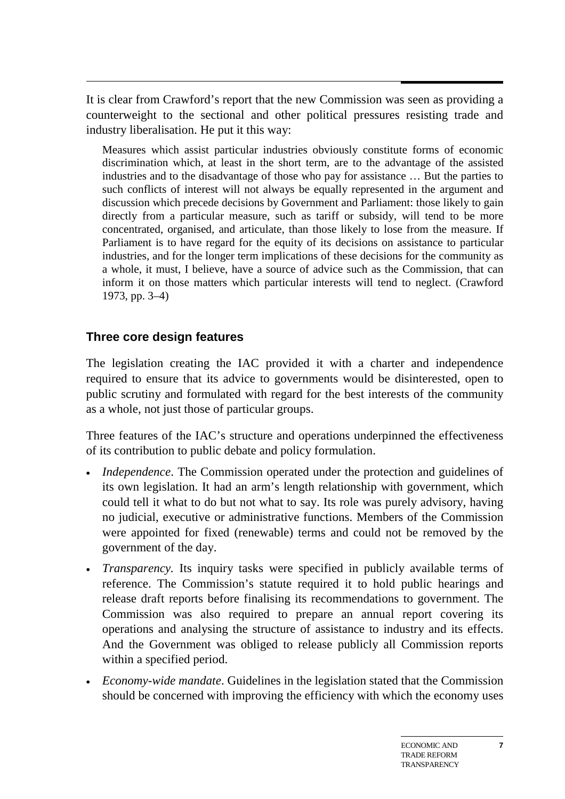$\overline{a}$ It is clear from Crawford's report that the new Commission was seen as providing a counterweight to the sectional and other political pressures resisting trade and industry liberalisation. He put it this way:

Measures which assist particular industries obviously constitute forms of economic discrimination which, at least in the short term, are to the advantage of the assisted industries and to the disadvantage of those who pay for assistance … But the parties to such conflicts of interest will not always be equally represented in the argument and discussion which precede decisions by Government and Parliament: those likely to gain directly from a particular measure, such as tariff or subsidy, will tend to be more concentrated, organised, and articulate, than those likely to lose from the measure. If Parliament is to have regard for the equity of its decisions on assistance to particular industries, and for the longer term implications of these decisions for the community as a whole, it must, I believe, have a source of advice such as the Commission, that can inform it on those matters which particular interests will tend to neglect. (Crawford 1973, pp. 3–4)

## **Three core design features**

The legislation creating the IAC provided it with a charter and independence required to ensure that its advice to governments would be disinterested, open to public scrutiny and formulated with regard for the best interests of the community as a whole, not just those of particular groups.

Three features of the IAC's structure and operations underpinned the effectiveness of its contribution to public debate and policy formulation.

- *Independence*. The Commission operated under the protection and guidelines of its own legislation. It had an arm's length relationship with government, which could tell it what to do but not what to say. Its role was purely advisory, having no judicial, executive or administrative functions. Members of the Commission were appointed for fixed (renewable) terms and could not be removed by the government of the day.
- *Transparency.* Its inquiry tasks were specified in publicly available terms of reference. The Commission's statute required it to hold public hearings and release draft reports before finalising its recommendations to government. The Commission was also required to prepare an annual report covering its operations and analysing the structure of assistance to industry and its effects. And the Government was obliged to release publicly all Commission reports within a specified period.
- *Economy-wide mandate*. Guidelines in the legislation stated that the Commission should be concerned with improving the efficiency with which the economy uses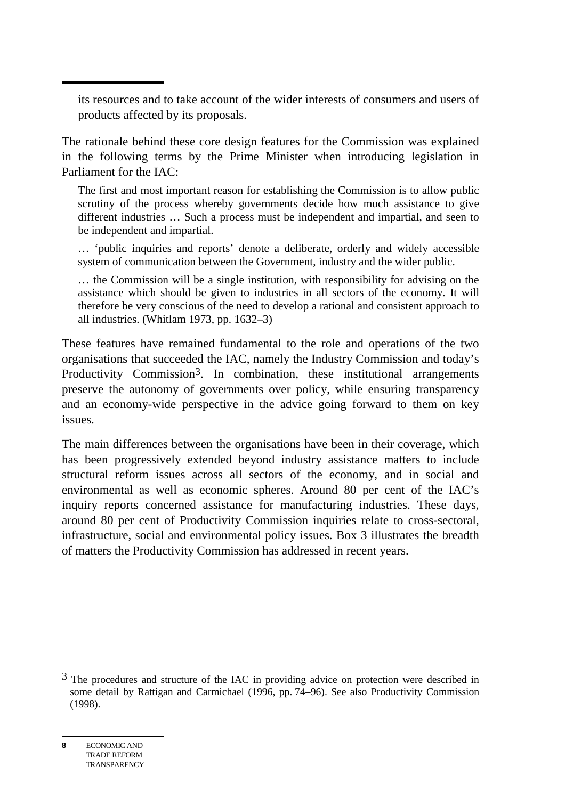its resources and to take account of the wider interests of consumers and users of products affected by its proposals.

The rationale behind these core design features for the Commission was explained in the following terms by the Prime Minister when introducing legislation in Parliament for the IAC:

The first and most important reason for establishing the Commission is to allow public scrutiny of the process whereby governments decide how much assistance to give different industries … Such a process must be independent and impartial, and seen to be independent and impartial.

… 'public inquiries and reports' denote a deliberate, orderly and widely accessible system of communication between the Government, industry and the wider public.

… the Commission will be a single institution, with responsibility for advising on the assistance which should be given to industries in all sectors of the economy. It will therefore be very conscious of the need to develop a rational and consistent approach to all industries. (Whitlam 1973, pp. 1632–3)

These features have remained fundamental to the role and operations of the two organisations that succeeded the IAC, namely the Industry Commission and today's Productivity Commission<sup>3</sup>. In combination, these institutional arrangements preserve the autonomy of governments over policy, while ensuring transparency and an economy-wide perspective in the advice going forward to them on key issues.

The main differences between the organisations have been in their coverage, which has been progressively extended beyond industry assistance matters to include structural reform issues across all sectors of the economy, and in social and environmental as well as economic spheres. Around 80 per cent of the IAC's inquiry reports concerned assistance for manufacturing industries. These days, around 80 per cent of Productivity Commission inquiries relate to cross-sectoral, infrastructure, social and environmental policy issues. Box 3 illustrates the breadth of matters the Productivity Commission has addressed in recent years.

 $\overline{a}$ 

<sup>&</sup>lt;sup>3</sup> The procedures and structure of the IAC in providing advice on protection were described in some detail by Rattigan and Carmichael (1996, pp. 74–96). See also Productivity Commission (1998).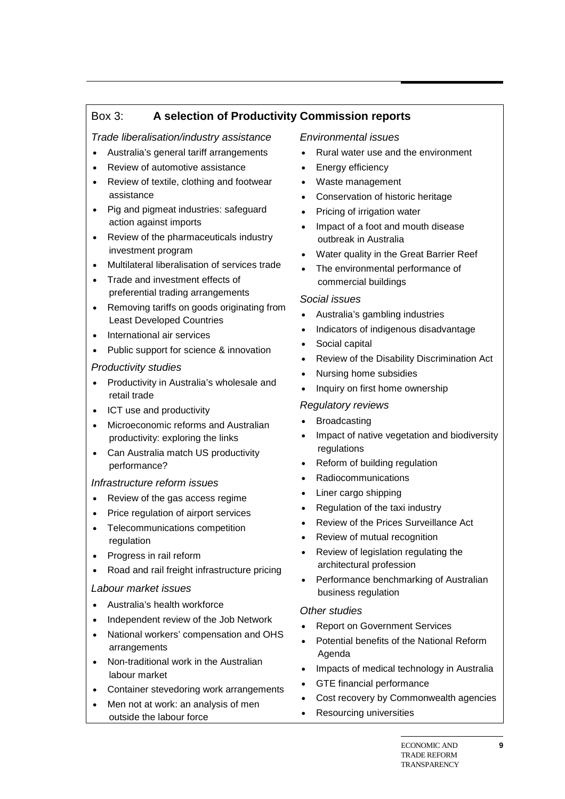## Box 3: **A selection of Productivity Commission reports**

#### *Trade liberalisation/industry assistance*

- Australia's general tariff arrangements
- Review of automotive assistance
- Review of textile, clothing and footwear assistance
- Pig and pigmeat industries: safeguard action against imports
- Review of the pharmaceuticals industry investment program
- Multilateral liberalisation of services trade
- Trade and investment effects of preferential trading arrangements
- Removing tariffs on goods originating from Least Developed Countries
- International air services
- Public support for science & innovation

#### *Productivity studies*

- Productivity in Australia's wholesale and retail trade
- ICT use and productivity
- Microeconomic reforms and Australian productivity: exploring the links
- Can Australia match US productivity performance?

#### *Infrastructure reform issues*

- Review of the gas access regime
- Price regulation of airport services
- Telecommunications competition regulation
- Progress in rail reform
- Road and rail freight infrastructure pricing

#### *Labour market issues*

- Australia's health workforce
- Independent review of the Job Network
- National workers' compensation and OHS arrangements
- Non-traditional work in the Australian labour market
- Container stevedoring work arrangements
- Men not at work: an analysis of men outside the labour force

#### *Environmental issues*

- Rural water use and the environment
- Energy efficiency
- Waste management
- Conservation of historic heritage
- Pricing of irrigation water
- Impact of a foot and mouth disease outbreak in Australia
- Water quality in the Great Barrier Reef
- The environmental performance of commercial buildings

#### *Social issues*

- Australia's gambling industries
- Indicators of indigenous disadvantage
- Social capital
- Review of the Disability Discrimination Act
- Nursing home subsidies
- Inquiry on first home ownership

#### *Regulatory reviews*

- **Broadcasting**
- Impact of native vegetation and biodiversity regulations
- Reform of building regulation
- Radiocommunications
- Liner cargo shipping
- Regulation of the taxi industry
- Review of the Prices Surveillance Act
- Review of mutual recognition
- Review of legislation regulating the architectural profession
- Performance benchmarking of Australian business regulation

#### *Other studies*

- Report on Government Services
- Potential benefits of the National Reform Agenda
- Impacts of medical technology in Australia
- GTE financial performance
- Cost recovery by Commonwealth agencies
- Resourcing universities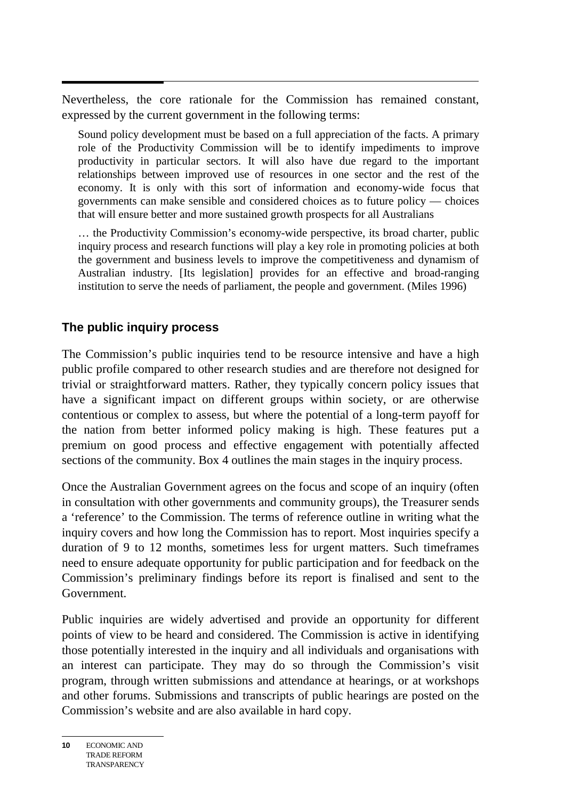$\overline{a}$ Nevertheless, the core rationale for the Commission has remained constant, expressed by the current government in the following terms:

Sound policy development must be based on a full appreciation of the facts. A primary role of the Productivity Commission will be to identify impediments to improve productivity in particular sectors. It will also have due regard to the important relationships between improved use of resources in one sector and the rest of the economy. It is only with this sort of information and economy-wide focus that governments can make sensible and considered choices as to future policy — choices that will ensure better and more sustained growth prospects for all Australians

… the Productivity Commission's economy-wide perspective, its broad charter, public inquiry process and research functions will play a key role in promoting policies at both the government and business levels to improve the competitiveness and dynamism of Australian industry. [Its legislation] provides for an effective and broad-ranging institution to serve the needs of parliament, the people and government. (Miles 1996)

## **The public inquiry process**

The Commission's public inquiries tend to be resource intensive and have a high public profile compared to other research studies and are therefore not designed for trivial or straightforward matters. Rather, they typically concern policy issues that have a significant impact on different groups within society, or are otherwise contentious or complex to assess, but where the potential of a long-term payoff for the nation from better informed policy making is high. These features put a premium on good process and effective engagement with potentially affected sections of the community. Box 4 outlines the main stages in the inquiry process.

Once the Australian Government agrees on the focus and scope of an inquiry (often in consultation with other governments and community groups), the Treasurer sends a 'reference' to the Commission. The terms of reference outline in writing what the inquiry covers and how long the Commission has to report. Most inquiries specify a duration of 9 to 12 months, sometimes less for urgent matters. Such timeframes need to ensure adequate opportunity for public participation and for feedback on the Commission's preliminary findings before its report is finalised and sent to the Government.

Public inquiries are widely advertised and provide an opportunity for different points of view to be heard and considered. The Commission is active in identifying those potentially interested in the inquiry and all individuals and organisations with an interest can participate. They may do so through the Commission's visit program, through written submissions and attendance at hearings, or at workshops and other forums. Submissions and transcripts of public hearings are posted on the Commission's website and are also available in hard copy.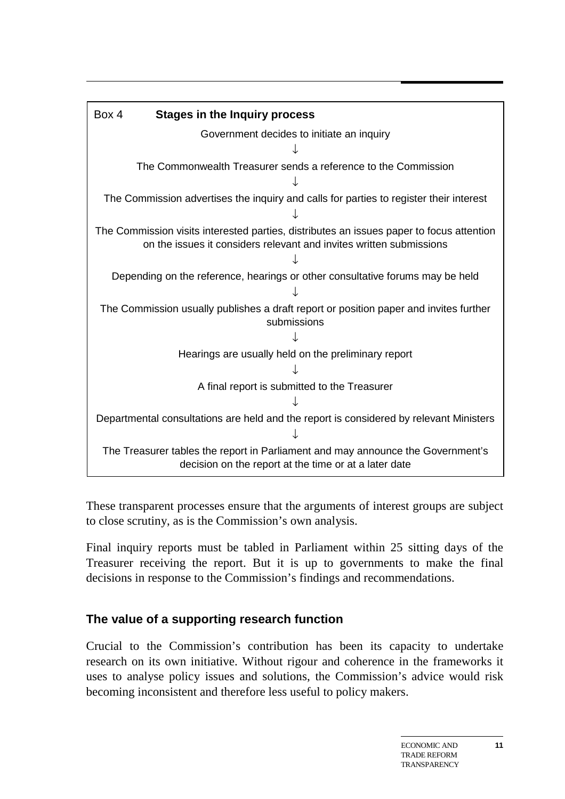| Box 4                                                                                                                                                           | <b>Stages in the Inquiry process</b>                                                   |
|-----------------------------------------------------------------------------------------------------------------------------------------------------------------|----------------------------------------------------------------------------------------|
|                                                                                                                                                                 | Government decides to initiate an inquiry                                              |
|                                                                                                                                                                 |                                                                                        |
|                                                                                                                                                                 | The Commonwealth Treasurer sends a reference to the Commission                         |
|                                                                                                                                                                 |                                                                                        |
|                                                                                                                                                                 | The Commission advertises the inquiry and calls for parties to register their interest |
|                                                                                                                                                                 |                                                                                        |
| The Commission visits interested parties, distributes an issues paper to focus attention<br>on the issues it considers relevant and invites written submissions |                                                                                        |
|                                                                                                                                                                 |                                                                                        |
|                                                                                                                                                                 | Depending on the reference, hearings or other consultative forums may be held          |
|                                                                                                                                                                 |                                                                                        |
| The Commission usually publishes a draft report or position paper and invites further<br>submissions                                                            |                                                                                        |
|                                                                                                                                                                 |                                                                                        |
|                                                                                                                                                                 | Hearings are usually held on the preliminary report                                    |
|                                                                                                                                                                 |                                                                                        |
|                                                                                                                                                                 | A final report is submitted to the Treasurer                                           |
|                                                                                                                                                                 |                                                                                        |
|                                                                                                                                                                 | Departmental consultations are held and the report is considered by relevant Ministers |
|                                                                                                                                                                 |                                                                                        |
| The Treasurer tables the report in Parliament and may announce the Government's<br>decision on the report at the time or at a later date                        |                                                                                        |

These transparent processes ensure that the arguments of interest groups are subject to close scrutiny, as is the Commission's own analysis.

Final inquiry reports must be tabled in Parliament within 25 sitting days of the Treasurer receiving the report. But it is up to governments to make the final decisions in response to the Commission's findings and recommendations.

## **The value of a supporting research function**

Crucial to the Commission's contribution has been its capacity to undertake research on its own initiative. Without rigour and coherence in the frameworks it uses to analyse policy issues and solutions, the Commission's advice would risk becoming inconsistent and therefore less useful to policy makers.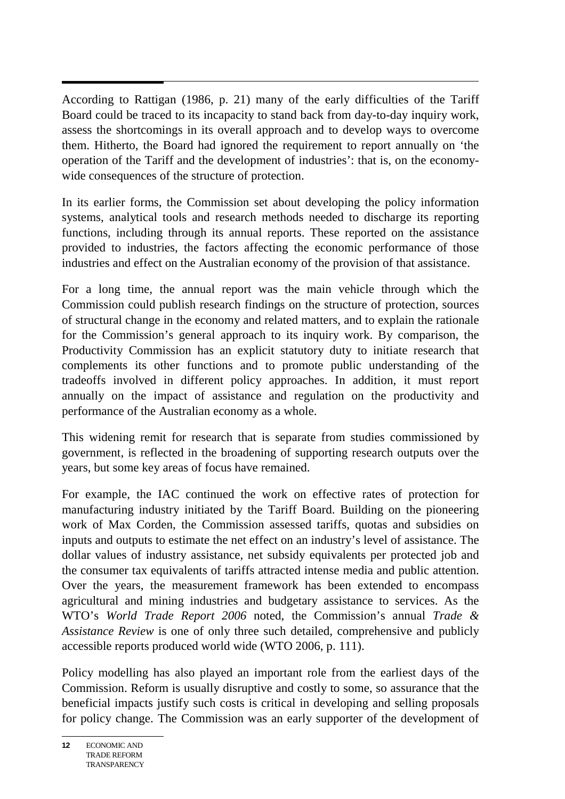According to Rattigan (1986, p. 21) many of the early difficulties of the Tariff Board could be traced to its incapacity to stand back from day-to-day inquiry work, assess the shortcomings in its overall approach and to develop ways to overcome them. Hitherto, the Board had ignored the requirement to report annually on 'the operation of the Tariff and the development of industries': that is, on the economywide consequences of the structure of protection.

In its earlier forms, the Commission set about developing the policy information systems, analytical tools and research methods needed to discharge its reporting functions, including through its annual reports. These reported on the assistance provided to industries, the factors affecting the economic performance of those industries and effect on the Australian economy of the provision of that assistance.

For a long time, the annual report was the main vehicle through which the Commission could publish research findings on the structure of protection, sources of structural change in the economy and related matters, and to explain the rationale for the Commission's general approach to its inquiry work. By comparison, the Productivity Commission has an explicit statutory duty to initiate research that complements its other functions and to promote public understanding of the tradeoffs involved in different policy approaches. In addition, it must report annually on the impact of assistance and regulation on the productivity and performance of the Australian economy as a whole.

This widening remit for research that is separate from studies commissioned by government, is reflected in the broadening of supporting research outputs over the years, but some key areas of focus have remained.

For example, the IAC continued the work on effective rates of protection for manufacturing industry initiated by the Tariff Board. Building on the pioneering work of Max Corden, the Commission assessed tariffs, quotas and subsidies on inputs and outputs to estimate the net effect on an industry's level of assistance. The dollar values of industry assistance, net subsidy equivalents per protected job and the consumer tax equivalents of tariffs attracted intense media and public attention. Over the years, the measurement framework has been extended to encompass agricultural and mining industries and budgetary assistance to services. As the WTO's *World Trade Report 2006* noted, the Commission's annual *Trade & Assistance Review* is one of only three such detailed, comprehensive and publicly accessible reports produced world wide (WTO 2006, p. 111).

Policy modelling has also played an important role from the earliest days of the Commission. Reform is usually disruptive and costly to some, so assurance that the beneficial impacts justify such costs is critical in developing and selling proposals for policy change. The Commission was an early supporter of the development of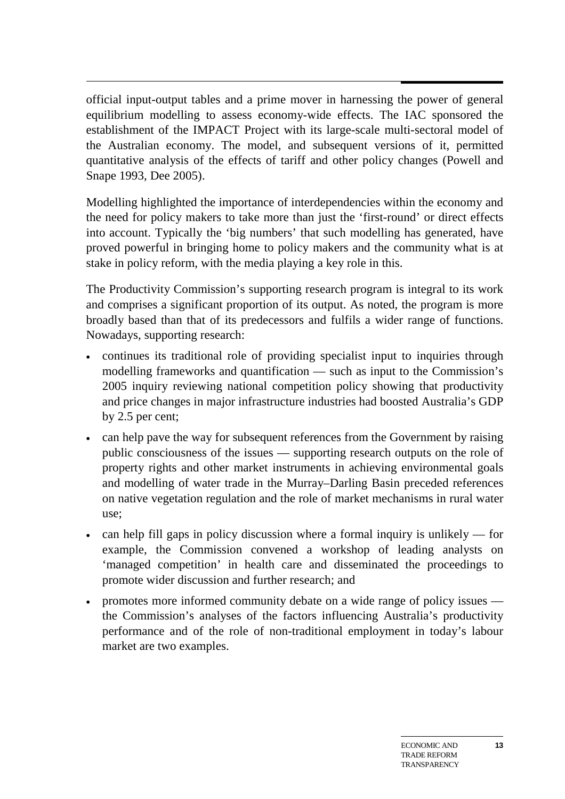official input-output tables and a prime mover in harnessing the power of general equilibrium modelling to assess economy-wide effects. The IAC sponsored the establishment of the IMPACT Project with its large-scale multi-sectoral model of the Australian economy. The model, and subsequent versions of it, permitted quantitative analysis of the effects of tariff and other policy changes (Powell and Snape 1993, Dee 2005).

Modelling highlighted the importance of interdependencies within the economy and the need for policy makers to take more than just the 'first-round' or direct effects into account. Typically the 'big numbers' that such modelling has generated, have proved powerful in bringing home to policy makers and the community what is at stake in policy reform, with the media playing a key role in this.

The Productivity Commission's supporting research program is integral to its work and comprises a significant proportion of its output. As noted, the program is more broadly based than that of its predecessors and fulfils a wider range of functions. Nowadays, supporting research:

- continues its traditional role of providing specialist input to inquiries through modelling frameworks and quantification — such as input to the Commission's 2005 inquiry reviewing national competition policy showing that productivity and price changes in major infrastructure industries had boosted Australia's GDP by 2.5 per cent;
- can help pave the way for subsequent references from the Government by raising public consciousness of the issues — supporting research outputs on the role of property rights and other market instruments in achieving environmental goals and modelling of water trade in the Murray–Darling Basin preceded references on native vegetation regulation and the role of market mechanisms in rural water use;
- can help fill gaps in policy discussion where a formal inquiry is unlikely for example, the Commission convened a workshop of leading analysts on 'managed competition' in health care and disseminated the proceedings to promote wider discussion and further research; and
- promotes more informed community debate on a wide range of policy issues the Commission's analyses of the factors influencing Australia's productivity performance and of the role of non-traditional employment in today's labour market are two examples.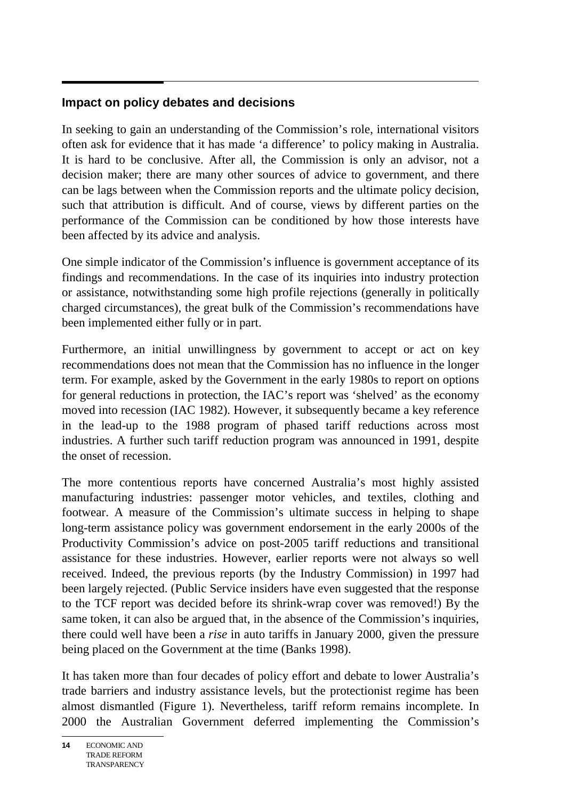## **Impact on policy debates and decisions**

In seeking to gain an understanding of the Commission's role, international visitors often ask for evidence that it has made 'a difference' to policy making in Australia. It is hard to be conclusive. After all, the Commission is only an advisor, not a decision maker; there are many other sources of advice to government, and there can be lags between when the Commission reports and the ultimate policy decision, such that attribution is difficult. And of course, views by different parties on the performance of the Commission can be conditioned by how those interests have been affected by its advice and analysis.

One simple indicator of the Commission's influence is government acceptance of its findings and recommendations. In the case of its inquiries into industry protection or assistance, notwithstanding some high profile rejections (generally in politically charged circumstances), the great bulk of the Commission's recommendations have been implemented either fully or in part.

Furthermore, an initial unwillingness by government to accept or act on key recommendations does not mean that the Commission has no influence in the longer term. For example, asked by the Government in the early 1980s to report on options for general reductions in protection, the IAC's report was 'shelved' as the economy moved into recession (IAC 1982). However, it subsequently became a key reference in the lead-up to the 1988 program of phased tariff reductions across most industries. A further such tariff reduction program was announced in 1991, despite the onset of recession.

The more contentious reports have concerned Australia's most highly assisted manufacturing industries: passenger motor vehicles, and textiles, clothing and footwear. A measure of the Commission's ultimate success in helping to shape long-term assistance policy was government endorsement in the early 2000s of the Productivity Commission's advice on post-2005 tariff reductions and transitional assistance for these industries. However, earlier reports were not always so well received. Indeed, the previous reports (by the Industry Commission) in 1997 had been largely rejected. (Public Service insiders have even suggested that the response to the TCF report was decided before its shrink-wrap cover was removed!) By the same token, it can also be argued that, in the absence of the Commission's inquiries, there could well have been a *rise* in auto tariffs in January 2000, given the pressure being placed on the Government at the time (Banks 1998).

It has taken more than four decades of policy effort and debate to lower Australia's trade barriers and industry assistance levels, but the protectionist regime has been almost dismantled (Figure 1). Nevertheless, tariff reform remains incomplete. In 2000 the Australian Government deferred implementing the Commission's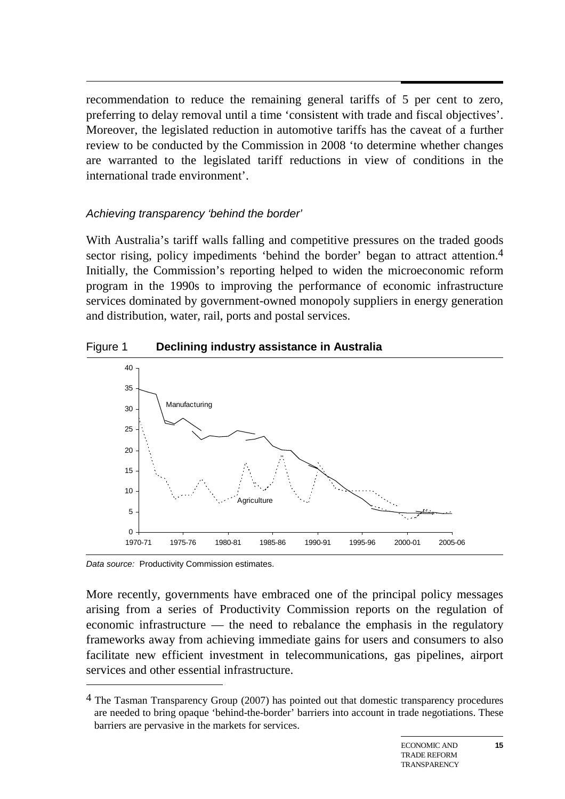recommendation to reduce the remaining general tariffs of 5 per cent to zero, preferring to delay removal until a time 'consistent with trade and fiscal objectives'. Moreover, the legislated reduction in automotive tariffs has the caveat of a further review to be conducted by the Commission in 2008 'to determine whether changes are warranted to the legislated tariff reductions in view of conditions in the international trade environment'.

## *Achieving transparency 'behind the border'*

With Australia's tariff walls falling and competitive pressures on the traded goods sector rising, policy impediments 'behind the border' began to attract attention.<sup>4</sup> Initially, the Commission's reporting helped to widen the microeconomic reform program in the 1990s to improving the performance of economic infrastructure services dominated by government-owned monopoly suppliers in energy generation and distribution, water, rail, ports and postal services.

## Figure 1 **Declining industry assistance in Australia**



*Data source:* Productivity Commission estimates.

-

More recently, governments have embraced one of the principal policy messages arising from a series of Productivity Commission reports on the regulation of economic infrastructure — the need to rebalance the emphasis in the regulatory frameworks away from achieving immediate gains for users and consumers to also facilitate new efficient investment in telecommunications, gas pipelines, airport services and other essential infrastructure.

<sup>&</sup>lt;sup>4</sup> The Tasman Transparency Group (2007) has pointed out that domestic transparency procedures are needed to bring opaque 'behind-the-border' barriers into account in trade negotiations. These barriers are pervasive in the markets for services.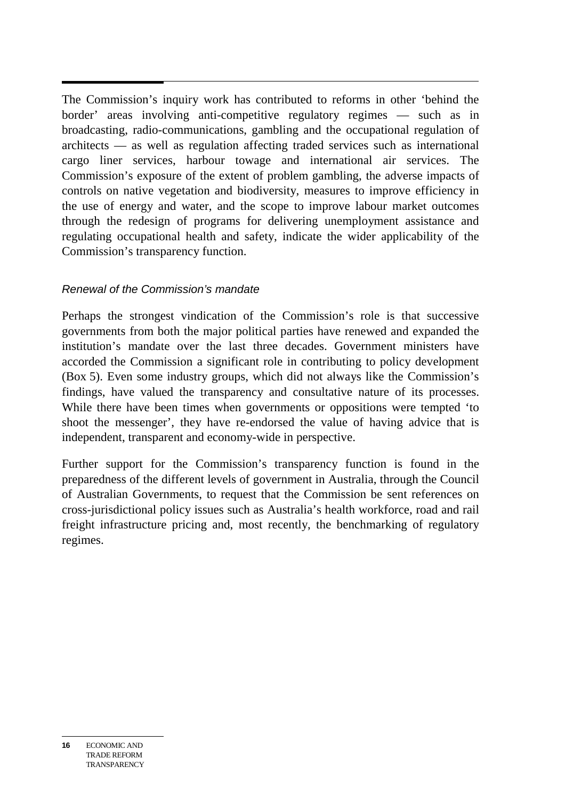$\overline{a}$ The Commission's inquiry work has contributed to reforms in other 'behind the border' areas involving anti-competitive regulatory regimes — such as in broadcasting, radio-communications, gambling and the occupational regulation of architects — as well as regulation affecting traded services such as international cargo liner services, harbour towage and international air services. The Commission's exposure of the extent of problem gambling, the adverse impacts of controls on native vegetation and biodiversity, measures to improve efficiency in the use of energy and water, and the scope to improve labour market outcomes through the redesign of programs for delivering unemployment assistance and regulating occupational health and safety, indicate the wider applicability of the Commission's transparency function.

## *Renewal of the Commission's mandate*

Perhaps the strongest vindication of the Commission's role is that successive governments from both the major political parties have renewed and expanded the institution's mandate over the last three decades. Government ministers have accorded the Commission a significant role in contributing to policy development (Box 5). Even some industry groups, which did not always like the Commission's findings, have valued the transparency and consultative nature of its processes. While there have been times when governments or oppositions were tempted 'to shoot the messenger', they have re-endorsed the value of having advice that is independent, transparent and economy-wide in perspective.

Further support for the Commission's transparency function is found in the preparedness of the different levels of government in Australia, through the Council of Australian Governments, to request that the Commission be sent references on cross-jurisdictional policy issues such as Australia's health workforce, road and rail freight infrastructure pricing and, most recently, the benchmarking of regulatory regimes.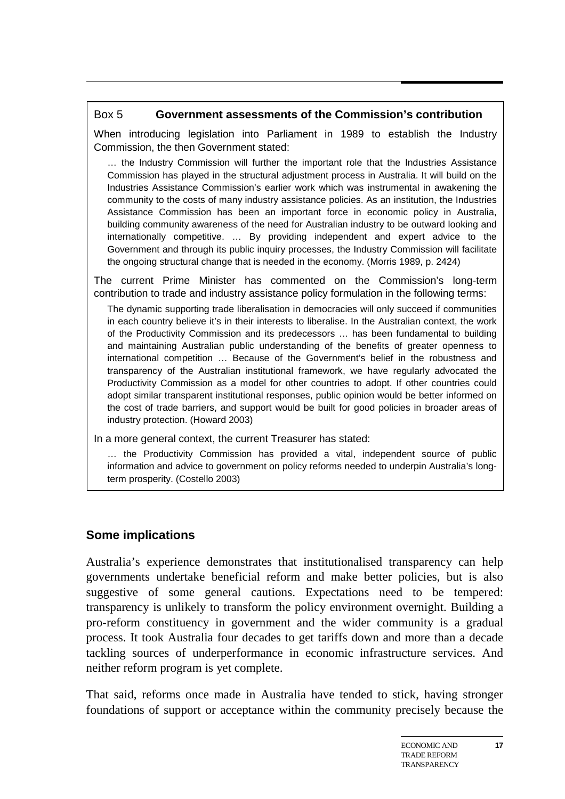## Box 5 **Government assessments of the Commission's contribution**

When introducing legislation into Parliament in 1989 to establish the Industry Commission, the then Government stated:

… the Industry Commission will further the important role that the Industries Assistance Commission has played in the structural adjustment process in Australia. It will build on the Industries Assistance Commission's earlier work which was instrumental in awakening the community to the costs of many industry assistance policies. As an institution, the Industries Assistance Commission has been an important force in economic policy in Australia, building community awareness of the need for Australian industry to be outward looking and internationally competitive. … By providing independent and expert advice to the Government and through its public inquiry processes, the Industry Commission will facilitate the ongoing structural change that is needed in the economy. (Morris 1989, p. 2424)

The current Prime Minister has commented on the Commission's long-term contribution to trade and industry assistance policy formulation in the following terms:

The dynamic supporting trade liberalisation in democracies will only succeed if communities in each country believe it's in their interests to liberalise. In the Australian context, the work of the Productivity Commission and its predecessors … has been fundamental to building and maintaining Australian public understanding of the benefits of greater openness to international competition … Because of the Government's belief in the robustness and transparency of the Australian institutional framework, we have regularly advocated the Productivity Commission as a model for other countries to adopt. If other countries could adopt similar transparent institutional responses, public opinion would be better informed on the cost of trade barriers, and support would be built for good policies in broader areas of industry protection. (Howard 2003)

In a more general context, the current Treasurer has stated:

… the Productivity Commission has provided a vital, independent source of public information and advice to government on policy reforms needed to underpin Australia's longterm prosperity. (Costello 2003)

## **Some implications**

Australia's experience demonstrates that institutionalised transparency can help governments undertake beneficial reform and make better policies, but is also suggestive of some general cautions. Expectations need to be tempered: transparency is unlikely to transform the policy environment overnight. Building a pro-reform constituency in government and the wider community is a gradual process. It took Australia four decades to get tariffs down and more than a decade tackling sources of underperformance in economic infrastructure services. And neither reform program is yet complete.

That said, reforms once made in Australia have tended to stick, having stronger foundations of support or acceptance within the community precisely because the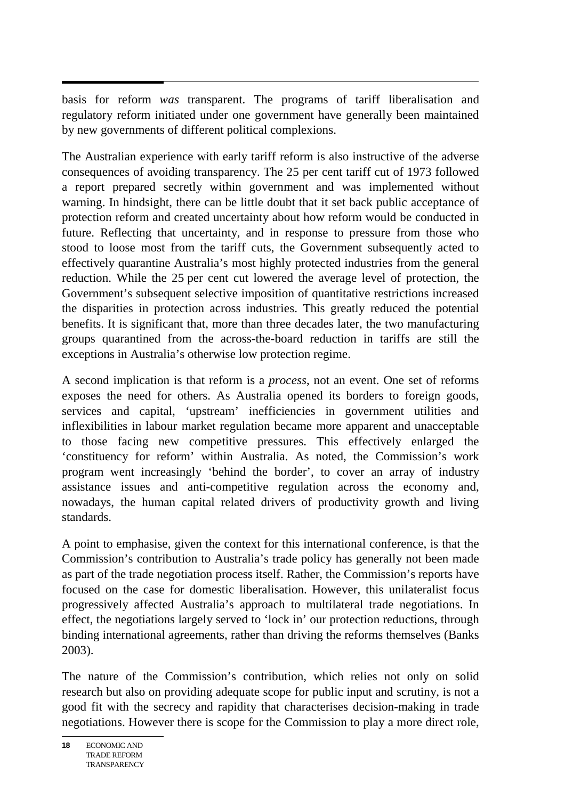$\overline{a}$ basis for reform *was* transparent. The programs of tariff liberalisation and regulatory reform initiated under one government have generally been maintained by new governments of different political complexions.

The Australian experience with early tariff reform is also instructive of the adverse consequences of avoiding transparency. The 25 per cent tariff cut of 1973 followed a report prepared secretly within government and was implemented without warning. In hindsight, there can be little doubt that it set back public acceptance of protection reform and created uncertainty about how reform would be conducted in future. Reflecting that uncertainty, and in response to pressure from those who stood to loose most from the tariff cuts, the Government subsequently acted to effectively quarantine Australia's most highly protected industries from the general reduction. While the 25 per cent cut lowered the average level of protection, the Government's subsequent selective imposition of quantitative restrictions increased the disparities in protection across industries. This greatly reduced the potential benefits. It is significant that, more than three decades later, the two manufacturing groups quarantined from the across-the-board reduction in tariffs are still the exceptions in Australia's otherwise low protection regime.

A second implication is that reform is a *process*, not an event. One set of reforms exposes the need for others. As Australia opened its borders to foreign goods, services and capital, 'upstream' inefficiencies in government utilities and inflexibilities in labour market regulation became more apparent and unacceptable to those facing new competitive pressures. This effectively enlarged the 'constituency for reform' within Australia. As noted, the Commission's work program went increasingly 'behind the border', to cover an array of industry assistance issues and anti-competitive regulation across the economy and, nowadays, the human capital related drivers of productivity growth and living standards.

A point to emphasise, given the context for this international conference, is that the Commission's contribution to Australia's trade policy has generally not been made as part of the trade negotiation process itself. Rather, the Commission's reports have focused on the case for domestic liberalisation. However, this unilateralist focus progressively affected Australia's approach to multilateral trade negotiations. In effect, the negotiations largely served to 'lock in' our protection reductions, through binding international agreements, rather than driving the reforms themselves (Banks 2003).

The nature of the Commission's contribution, which relies not only on solid research but also on providing adequate scope for public input and scrutiny, is not a good fit with the secrecy and rapidity that characterises decision-making in trade negotiations. However there is scope for the Commission to play a more direct role,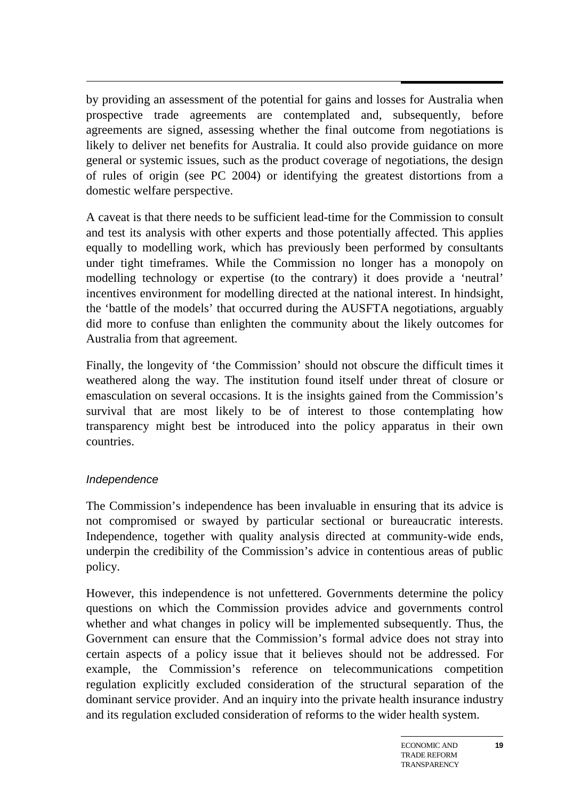$\overline{a}$ by providing an assessment of the potential for gains and losses for Australia when prospective trade agreements are contemplated and, subsequently, before agreements are signed, assessing whether the final outcome from negotiations is likely to deliver net benefits for Australia. It could also provide guidance on more general or systemic issues, such as the product coverage of negotiations, the design of rules of origin (see PC 2004) or identifying the greatest distortions from a domestic welfare perspective.

A caveat is that there needs to be sufficient lead-time for the Commission to consult and test its analysis with other experts and those potentially affected. This applies equally to modelling work, which has previously been performed by consultants under tight timeframes. While the Commission no longer has a monopoly on modelling technology or expertise (to the contrary) it does provide a 'neutral' incentives environment for modelling directed at the national interest. In hindsight, the 'battle of the models' that occurred during the AUSFTA negotiations, arguably did more to confuse than enlighten the community about the likely outcomes for Australia from that agreement.

Finally, the longevity of 'the Commission' should not obscure the difficult times it weathered along the way. The institution found itself under threat of closure or emasculation on several occasions. It is the insights gained from the Commission's survival that are most likely to be of interest to those contemplating how transparency might best be introduced into the policy apparatus in their own countries.

## *Independence*

The Commission's independence has been invaluable in ensuring that its advice is not compromised or swayed by particular sectional or bureaucratic interests. Independence, together with quality analysis directed at community-wide ends, underpin the credibility of the Commission's advice in contentious areas of public policy.

However, this independence is not unfettered. Governments determine the policy questions on which the Commission provides advice and governments control whether and what changes in policy will be implemented subsequently. Thus, the Government can ensure that the Commission's formal advice does not stray into certain aspects of a policy issue that it believes should not be addressed. For example, the Commission's reference on telecommunications competition regulation explicitly excluded consideration of the structural separation of the dominant service provider. And an inquiry into the private health insurance industry and its regulation excluded consideration of reforms to the wider health system.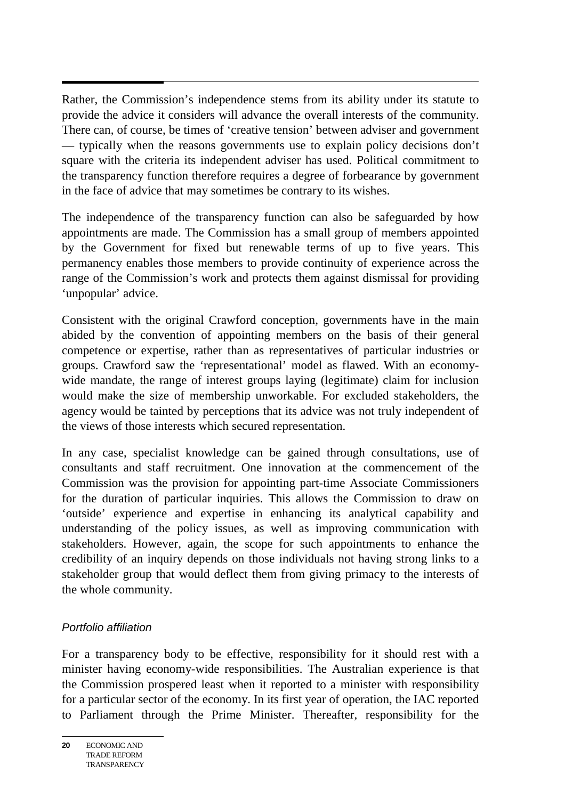$\overline{a}$ Rather, the Commission's independence stems from its ability under its statute to provide the advice it considers will advance the overall interests of the community. There can, of course, be times of 'creative tension' between adviser and government — typically when the reasons governments use to explain policy decisions don't square with the criteria its independent adviser has used. Political commitment to the transparency function therefore requires a degree of forbearance by government in the face of advice that may sometimes be contrary to its wishes.

The independence of the transparency function can also be safeguarded by how appointments are made. The Commission has a small group of members appointed by the Government for fixed but renewable terms of up to five years. This permanency enables those members to provide continuity of experience across the range of the Commission's work and protects them against dismissal for providing 'unpopular' advice.

Consistent with the original Crawford conception, governments have in the main abided by the convention of appointing members on the basis of their general competence or expertise, rather than as representatives of particular industries or groups. Crawford saw the 'representational' model as flawed. With an economywide mandate, the range of interest groups laying (legitimate) claim for inclusion would make the size of membership unworkable. For excluded stakeholders, the agency would be tainted by perceptions that its advice was not truly independent of the views of those interests which secured representation.

In any case, specialist knowledge can be gained through consultations, use of consultants and staff recruitment. One innovation at the commencement of the Commission was the provision for appointing part-time Associate Commissioners for the duration of particular inquiries. This allows the Commission to draw on 'outside' experience and expertise in enhancing its analytical capability and understanding of the policy issues, as well as improving communication with stakeholders. However, again, the scope for such appointments to enhance the credibility of an inquiry depends on those individuals not having strong links to a stakeholder group that would deflect them from giving primacy to the interests of the whole community.

## *Portfolio affiliation*

For a transparency body to be effective, responsibility for it should rest with a minister having economy-wide responsibilities. The Australian experience is that the Commission prospered least when it reported to a minister with responsibility for a particular sector of the economy. In its first year of operation, the IAC reported to Parliament through the Prime Minister. Thereafter, responsibility for the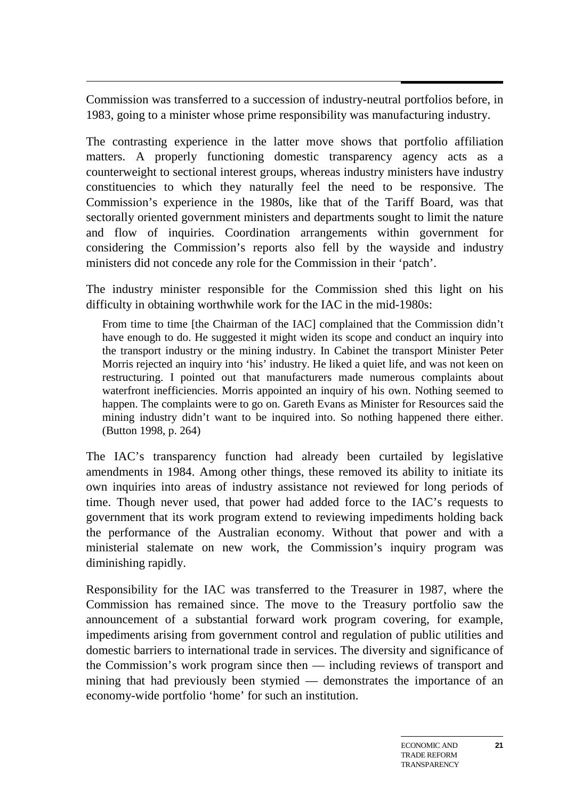$\overline{a}$ Commission was transferred to a succession of industry-neutral portfolios before, in 1983, going to a minister whose prime responsibility was manufacturing industry.

The contrasting experience in the latter move shows that portfolio affiliation matters. A properly functioning domestic transparency agency acts as a counterweight to sectional interest groups, whereas industry ministers have industry constituencies to which they naturally feel the need to be responsive. The Commission's experience in the 1980s, like that of the Tariff Board, was that sectorally oriented government ministers and departments sought to limit the nature and flow of inquiries. Coordination arrangements within government for considering the Commission's reports also fell by the wayside and industry ministers did not concede any role for the Commission in their 'patch'.

The industry minister responsible for the Commission shed this light on his difficulty in obtaining worthwhile work for the IAC in the mid-1980s:

From time to time [the Chairman of the IAC] complained that the Commission didn't have enough to do. He suggested it might widen its scope and conduct an inquiry into the transport industry or the mining industry. In Cabinet the transport Minister Peter Morris rejected an inquiry into 'his' industry. He liked a quiet life, and was not keen on restructuring. I pointed out that manufacturers made numerous complaints about waterfront inefficiencies. Morris appointed an inquiry of his own. Nothing seemed to happen. The complaints were to go on. Gareth Evans as Minister for Resources said the mining industry didn't want to be inquired into. So nothing happened there either. (Button 1998, p. 264)

The IAC's transparency function had already been curtailed by legislative amendments in 1984. Among other things, these removed its ability to initiate its own inquiries into areas of industry assistance not reviewed for long periods of time. Though never used, that power had added force to the IAC's requests to government that its work program extend to reviewing impediments holding back the performance of the Australian economy. Without that power and with a ministerial stalemate on new work, the Commission's inquiry program was diminishing rapidly.

Responsibility for the IAC was transferred to the Treasurer in 1987, where the Commission has remained since. The move to the Treasury portfolio saw the announcement of a substantial forward work program covering, for example, impediments arising from government control and regulation of public utilities and domestic barriers to international trade in services. The diversity and significance of the Commission's work program since then — including reviews of transport and mining that had previously been stymied — demonstrates the importance of an economy-wide portfolio 'home' for such an institution.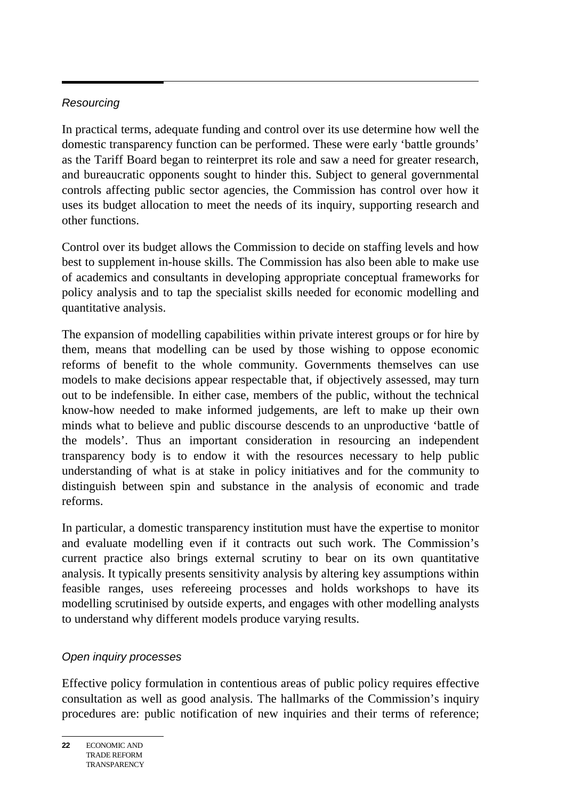## *Resourcing*

In practical terms, adequate funding and control over its use determine how well the domestic transparency function can be performed. These were early 'battle grounds' as the Tariff Board began to reinterpret its role and saw a need for greater research, and bureaucratic opponents sought to hinder this. Subject to general governmental controls affecting public sector agencies, the Commission has control over how it uses its budget allocation to meet the needs of its inquiry, supporting research and other functions.

Control over its budget allows the Commission to decide on staffing levels and how best to supplement in-house skills. The Commission has also been able to make use of academics and consultants in developing appropriate conceptual frameworks for policy analysis and to tap the specialist skills needed for economic modelling and quantitative analysis.

The expansion of modelling capabilities within private interest groups or for hire by them, means that modelling can be used by those wishing to oppose economic reforms of benefit to the whole community. Governments themselves can use models to make decisions appear respectable that, if objectively assessed, may turn out to be indefensible. In either case, members of the public, without the technical know-how needed to make informed judgements, are left to make up their own minds what to believe and public discourse descends to an unproductive 'battle of the models'. Thus an important consideration in resourcing an independent transparency body is to endow it with the resources necessary to help public understanding of what is at stake in policy initiatives and for the community to distinguish between spin and substance in the analysis of economic and trade reforms.

In particular, a domestic transparency institution must have the expertise to monitor and evaluate modelling even if it contracts out such work. The Commission's current practice also brings external scrutiny to bear on its own quantitative analysis. It typically presents sensitivity analysis by altering key assumptions within feasible ranges, uses refereeing processes and holds workshops to have its modelling scrutinised by outside experts, and engages with other modelling analysts to understand why different models produce varying results.

## *Open inquiry processes*

Effective policy formulation in contentious areas of public policy requires effective consultation as well as good analysis. The hallmarks of the Commission's inquiry procedures are: public notification of new inquiries and their terms of reference;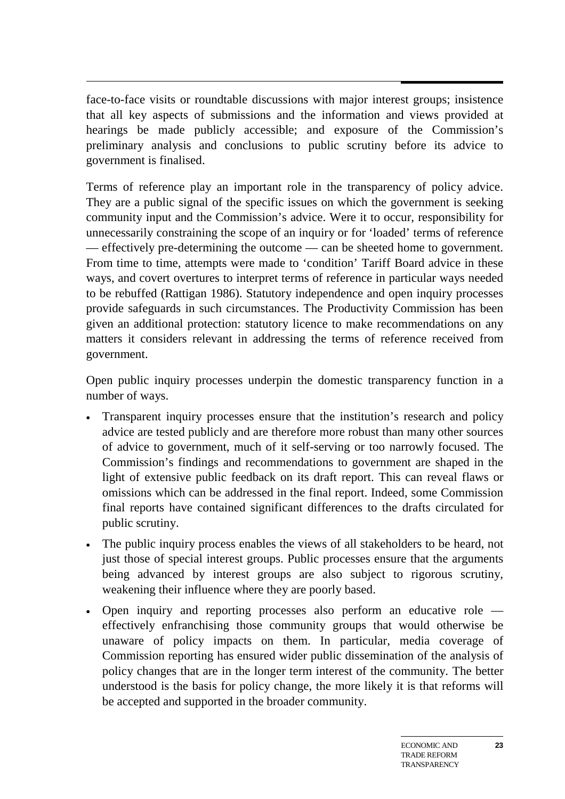$\overline{\phantom{a}}$ face-to-face visits or roundtable discussions with major interest groups; insistence that all key aspects of submissions and the information and views provided at hearings be made publicly accessible; and exposure of the Commission's preliminary analysis and conclusions to public scrutiny before its advice to government is finalised.

Terms of reference play an important role in the transparency of policy advice. They are a public signal of the specific issues on which the government is seeking community input and the Commission's advice. Were it to occur, responsibility for unnecessarily constraining the scope of an inquiry or for 'loaded' terms of reference — effectively pre-determining the outcome — can be sheeted home to government. From time to time, attempts were made to 'condition' Tariff Board advice in these ways, and covert overtures to interpret terms of reference in particular ways needed to be rebuffed (Rattigan 1986). Statutory independence and open inquiry processes provide safeguards in such circumstances. The Productivity Commission has been given an additional protection: statutory licence to make recommendations on any matters it considers relevant in addressing the terms of reference received from government.

Open public inquiry processes underpin the domestic transparency function in a number of ways.

- Transparent inquiry processes ensure that the institution's research and policy advice are tested publicly and are therefore more robust than many other sources of advice to government, much of it self-serving or too narrowly focused. The Commission's findings and recommendations to government are shaped in the light of extensive public feedback on its draft report. This can reveal flaws or omissions which can be addressed in the final report. Indeed, some Commission final reports have contained significant differences to the drafts circulated for public scrutiny.
- The public inquiry process enables the views of all stakeholders to be heard, not just those of special interest groups. Public processes ensure that the arguments being advanced by interest groups are also subject to rigorous scrutiny, weakening their influence where they are poorly based.
- Open inquiry and reporting processes also perform an educative role effectively enfranchising those community groups that would otherwise be unaware of policy impacts on them. In particular, media coverage of Commission reporting has ensured wider public dissemination of the analysis of policy changes that are in the longer term interest of the community. The better understood is the basis for policy change, the more likely it is that reforms will be accepted and supported in the broader community.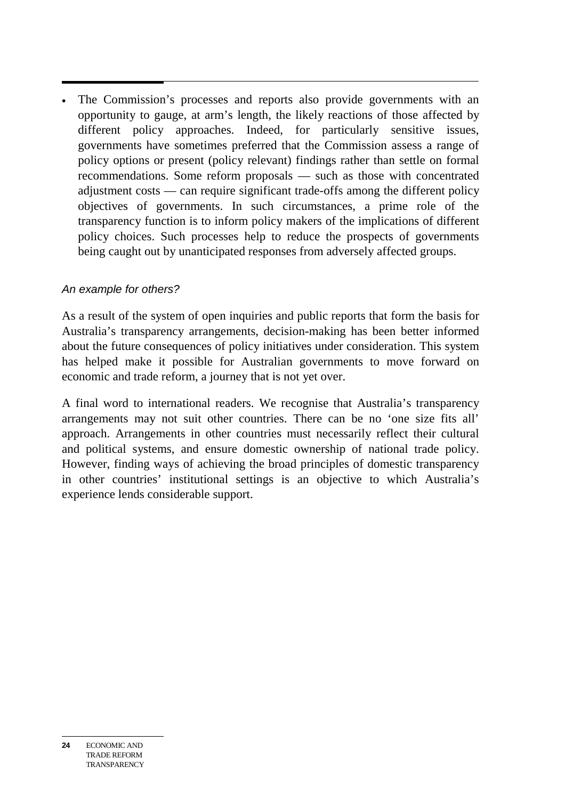• The Commission's processes and reports also provide governments with an opportunity to gauge, at arm's length, the likely reactions of those affected by different policy approaches. Indeed, for particularly sensitive issues, governments have sometimes preferred that the Commission assess a range of policy options or present (policy relevant) findings rather than settle on formal recommendations. Some reform proposals — such as those with concentrated adjustment costs — can require significant trade-offs among the different policy objectives of governments. In such circumstances, a prime role of the transparency function is to inform policy makers of the implications of different policy choices. Such processes help to reduce the prospects of governments being caught out by unanticipated responses from adversely affected groups.

## *An example for others?*

As a result of the system of open inquiries and public reports that form the basis for Australia's transparency arrangements, decision-making has been better informed about the future consequences of policy initiatives under consideration. This system has helped make it possible for Australian governments to move forward on economic and trade reform, a journey that is not yet over.

A final word to international readers. We recognise that Australia's transparency arrangements may not suit other countries. There can be no 'one size fits all' approach. Arrangements in other countries must necessarily reflect their cultural and political systems, and ensure domestic ownership of national trade policy. However, finding ways of achieving the broad principles of domestic transparency in other countries' institutional settings is an objective to which Australia's experience lends considerable support.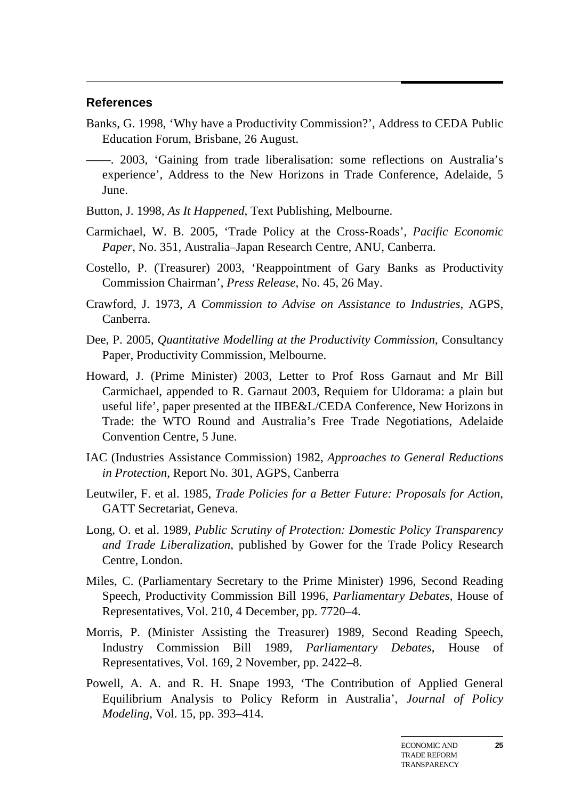#### **References**

- Banks, G. 1998, 'Why have a Productivity Commission?', Address to CEDA Public Education Forum, Brisbane, 26 August.
- ——. 2003, 'Gaining from trade liberalisation: some reflections on Australia's experience', Address to the New Horizons in Trade Conference, Adelaide, 5 June.
- Button, J. 1998, *As It Happened*, Text Publishing, Melbourne.
- Carmichael, W. B. 2005, 'Trade Policy at the Cross-Roads', *Pacific Economic Paper*, No. 351, Australia–Japan Research Centre, ANU, Canberra.
- Costello, P. (Treasurer) 2003, 'Reappointment of Gary Banks as Productivity Commission Chairman', *Press Release*, No. 45, 26 May.
- Crawford, J. 1973, *A Commission to Advise on Assistance to Industries*, AGPS, Canberra.
- Dee, P. 2005, *Quantitative Modelling at the Productivity Commission*, Consultancy Paper, Productivity Commission, Melbourne.
- Howard, J. (Prime Minister) 2003, Letter to Prof Ross Garnaut and Mr Bill Carmichael, appended to R. Garnaut 2003, Requiem for Uldorama: a plain but useful life', paper presented at the IIBE&L/CEDA Conference, New Horizons in Trade: the WTO Round and Australia's Free Trade Negotiations, Adelaide Convention Centre, 5 June.
- IAC (Industries Assistance Commission) 1982, *Approaches to General Reductions in Protection*, Report No. 301, AGPS, Canberra
- Leutwiler, F. et al. 1985, *Trade Policies for a Better Future: Proposals for Action*, GATT Secretariat, Geneva.
- Long, O. et al. 1989, *Public Scrutiny of Protection: Domestic Policy Transparency and Trade Liberalization*, published by Gower for the Trade Policy Research Centre, London.
- Miles, C. (Parliamentary Secretary to the Prime Minister) 1996, Second Reading Speech, Productivity Commission Bill 1996, *Parliamentary Debates*, House of Representatives, Vol. 210, 4 December, pp. 7720–4.
- Morris, P. (Minister Assisting the Treasurer) 1989, Second Reading Speech, Industry Commission Bill 1989, *Parliamentary Debates*, House of Representatives, Vol. 169, 2 November, pp. 2422–8.
- Powell, A. A. and R. H. Snape 1993, 'The Contribution of Applied General Equilibrium Analysis to Policy Reform in Australia', *Journal of Policy Modeling*, Vol. 15, pp. 393–414.